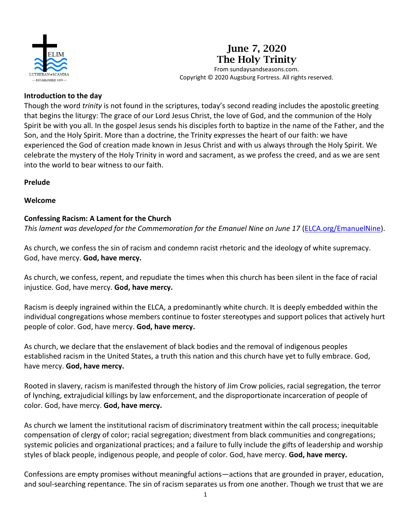

# **June 7, 2020 The Holy Trinity**

From sundaysandseasons.com. Copyright © 2020 Augsburg Fortress. All rights reserved.

#### **Introduction to the day**

Though the word *trinity* is not found in the scriptures, today's second reading includes the apostolic greeting that begins the liturgy: The grace of our Lord Jesus Christ, the love of God, and the communion of the Holy Spirit be with you all. In the gospel Jesus sends his disciples forth to baptize in the name of the Father, and the Son, and the Holy Spirit. More than a doctrine, the Trinity expresses the heart of our faith: we have experienced the God of creation made known in Jesus Christ and with us always through the Holy Spirit. We celebrate the mystery of the Holy Trinity in word and sacrament, as we profess the creed, and as we are sent into the world to bear witness to our faith.

## **Prelude**

## **Welcome**

## **Confessing Racism: A Lament for the Church**

*This lament was developed for the Commemoration for the Emanuel Nine on June 17* [\(ELCA.org/EmanuelNine\)](http://www.elca.org/EmanuelNine).

As church, we confess the sin of racism and condemn racist rhetoric and the ideology of white supremacy. God, have mercy. **God, have mercy.**

As church, we confess, repent, and repudiate the times when this church has been silent in the face of racial injustice. God, have mercy. **God, have mercy.**

Racism is deeply ingrained within the ELCA, a predominantly white church. It is deeply embedded within the individual congregations whose members continue to foster stereotypes and support polices that actively hurt people of color. God, have mercy. **God, have mercy.**

As church, we declare that the enslavement of black bodies and the removal of indigenous peoples established racism in the United States, a truth this nation and this church have yet to fully embrace. God, have mercy. **God, have mercy.**

Rooted in slavery, racism is manifested through the history of Jim Crow policies, racial segregation, the terror of lynching, extrajudicial killings by law enforcement, and the disproportionate incarceration of people of color. God, have mercy. **God, have mercy.**

As church we lament the institutional racism of discriminatory treatment within the call process; inequitable compensation of clergy of color; racial segregation; divestment from black communities and congregations; systemic policies and organizational practices; and a failure to fully include the gifts of leadership and worship styles of black people, indigenous people, and people of color. God, have mercy. **God, have mercy.**

Confessions are empty promises without meaningful actions—actions that are grounded in prayer, education, and soul-searching repentance. The sin of racism separates us from one another. Though we trust that we are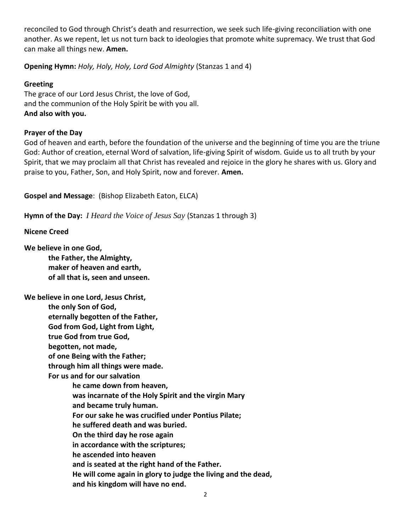reconciled to God through Christ's death and resurrection, we seek such life-giving reconciliation with one another. As we repent, let us not turn back to ideologies that promote white supremacy. We trust that God can make all things new. **Amen.**

**Opening Hymn:** *Holy, Holy, Holy, Lord God Almighty* (Stanzas 1 and 4)

# **Greeting**

The grace of our Lord Jesus Christ, the love of God, and the communion of the Holy Spirit be with you all. **And also with you.**

# **Prayer of the Day**

God of heaven and earth, before the foundation of the universe and the beginning of time you are the triune God: Author of creation, eternal Word of salvation, life-giving Spirit of wisdom. Guide us to all truth by your Spirit, that we may proclaim all that Christ has revealed and rejoice in the glory he shares with us. Glory and praise to you, Father, Son, and Holy Spirit, now and forever. **Amen.**

**Gospel and Message**: (Bishop Elizabeth Eaton, ELCA)

**Hymn of the Day:** *I Heard the Voice of Jesus Say* (Stanzas 1 through 3)

## **Nicene Creed**

**We believe in one God,**

**the Father, the Almighty, maker of heaven and earth, of all that is, seen and unseen.**

**We believe in one Lord, Jesus Christ, the only Son of God, eternally begotten of the Father, God from God, Light from Light, true God from true God, begotten, not made, of one Being with the Father; through him all things were made. For us and for our salvation he came down from heaven, was incarnate of the Holy Spirit and the virgin Mary and became truly human. For our sake he was crucified under Pontius Pilate; he suffered death and was buried. On the third day he rose again in accordance with the scriptures; he ascended into heaven and is seated at the right hand of the Father. He will come again in glory to judge the living and the dead, and his kingdom will have no end.**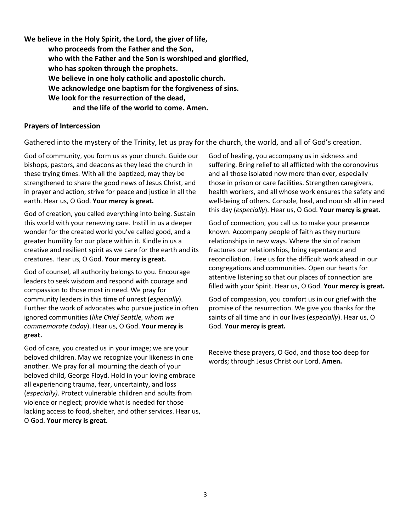**We believe in the Holy Spirit, the Lord, the giver of life, who proceeds from the Father and the Son, who with the Father and the Son is worshiped and glorified, who has spoken through the prophets. We believe in one holy catholic and apostolic church. We acknowledge one baptism for the forgiveness of sins. We look for the resurrection of the dead, and the life of the world to come. Amen.**

#### **Prayers of Intercession**

Gathered into the mystery of the Trinity, let us pray for the church, the world, and all of God's creation.

God of community, you form us as your church. Guide our bishops, pastors, and deacons as they lead the church in these trying times. With all the baptized, may they be strengthened to share the good news of Jesus Christ, and in prayer and action, strive for peace and justice in all the earth. Hear us, O God. **Your mercy is great.**

God of creation, you called everything into being. Sustain this world with your renewing care. Instill in us a deeper wonder for the created world you've called good, and a greater humility for our place within it. Kindle in us a creative and resilient spirit as we care for the earth and its creatures. Hear us, O God. **Your mercy is great.**

God of counsel, all authority belongs to you. Encourage leaders to seek wisdom and respond with courage and compassion to those most in need. We pray for community leaders in this time of unrest (*especially*). Further the work of advocates who pursue justice in often ignored communities (*like Chief Seattle, whom we commemorate today*). Hear us, O God. **Your mercy is great.**

God of care, you created us in your image; we are your beloved children. May we recognize your likeness in one another. We pray for all mourning the death of your beloved child, George Floyd. Hold in your loving embrace all experiencing trauma, fear, uncertainty, and loss (*especially)*. Protect vulnerable children and adults from violence or neglect; provide what is needed for those lacking access to food, shelter, and other services. Hear us, O God. **Your mercy is great.**

God of healing, you accompany us in sickness and suffering. Bring relief to all afflicted with the coronovirus and all those isolated now more than ever, especially those in prison or care facilities. Strengthen caregivers, health workers, and all whose work ensures the safety and well-being of others. Console, heal, and nourish all in need this day (*especially*). Hear us, O God. **Your mercy is great.**

God of connection, you call us to make your presence known. Accompany people of faith as they nurture relationships in new ways. Where the sin of racism fractures our relationships, bring repentance and reconciliation. Free us for the difficult work ahead in our congregations and communities. Open our hearts for attentive listening so that our places of connection are filled with your Spirit. Hear us, O God. **Your mercy is great.**

God of compassion, you comfort us in our grief with the promise of the resurrection. We give you thanks for the saints of all time and in our lives (*especially*). Hear us, O God. **Your mercy is great.**

Receive these prayers, O God, and those too deep for words; through Jesus Christ our Lord. **Amen.**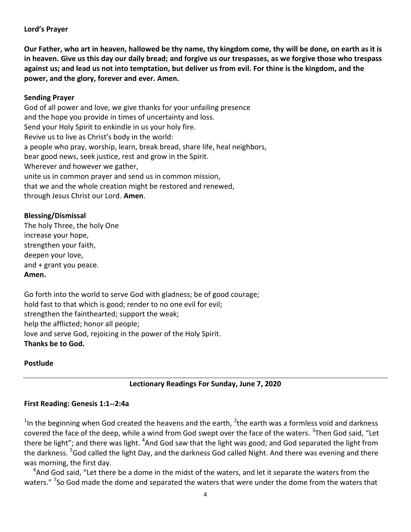#### **Lord's Prayer**

**Our Father, who art in heaven, hallowed be thy name, thy kingdom come, thy will be done, on earth as it is in heaven. Give us this day our daily bread; and forgive us our trespasses, as we forgive those who trespass against us; and lead us not into temptation, but deliver us from evil. For thine is the kingdom, and the power, and the glory, forever and ever. Amen.**

#### **Sending Prayer**

God of all power and love, we give thanks for your unfailing presence and the hope you provide in times of uncertainty and loss. Send your Holy Spirit to enkindle in us your holy fire. Revive us to live as Christ's body in the world: a people who pray, worship, learn, break bread, share life, heal neighbors, bear good news, seek justice, rest and grow in the Spirit. Wherever and however we gather, unite us in common prayer and send us in common mission, that we and the whole creation might be restored and renewed, through Jesus Christ our Lord. **Amen**.

#### **Blessing/Dismissal**

The holy Three, the holy One increase your hope, strengthen your faith, deepen your love, and + grant you peace. **Amen.**

Go forth into the world to serve God with gladness; be of good courage; hold fast to that which is good; render to no one evil for evil; strengthen the fainthearted; support the weak; help the afflicted; honor all people; love and serve God, rejoicing in the power of the Holy Spirit. **Thanks be to God.**

#### **Postlude**

#### **Lectionary Readings For Sunday, June 7, 2020**

#### **First Reading: Genesis 1:1--2:4a**

 $<sup>1</sup>$ In the beginning when God created the heavens and the earth,  $<sup>2</sup>$ the earth was a formless void and darkness</sup></sup> covered the face of the deep, while a wind from God swept over the face of the waters. <sup>3</sup>Then God said, "Let there be light"; and there was light. <sup>4</sup>And God saw that the light was good; and God separated the light from the darkness. <sup>5</sup>God called the light Day, and the darkness God called Night. And there was evening and there was morning, the first day.

 $^6$ And God said, "Let there be a dome in the midst of the waters, and let it separate the waters from the waters." <sup>7</sup>So God made the dome and separated the waters that were under the dome from the waters that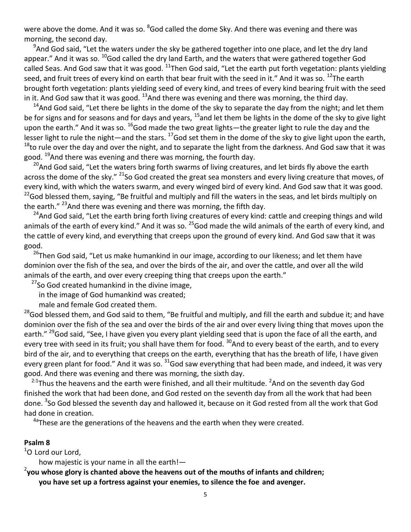were above the dome. And it was so. <sup>8</sup>God called the dome Sky. And there was evening and there was morning, the second day.

<sup>9</sup>And God said, "Let the waters under the sky be gathered together into one place, and let the dry land appear." And it was so. <sup>10</sup>God called the dry land Earth, and the waters that were gathered together God called Seas. And God saw that it was good.  $^{11}$ Then God said, "Let the earth put forth vegetation: plants yielding seed, and fruit trees of every kind on earth that bear fruit with the seed in it." And it was so. <sup>12</sup>The earth brought forth vegetation: plants yielding seed of every kind, and trees of every kind bearing fruit with the seed in it. And God saw that it was good.  $^{13}$ And there was evening and there was morning, the third day.

 $14$ And God said, "Let there be lights in the dome of the sky to separate the day from the night; and let them be for signs and for seasons and for days and years,  $^{15}$ and let them be lights in the dome of the sky to give light upon the earth." And it was so. <sup>16</sup>God made the two great lights—the greater light to rule the day and the lesser light to rule the night—and the stars.  $^{17}$  God set them in the dome of the sky to give light upon the earth, <sup>18</sup>to rule over the day and over the night, and to separate the light from the darkness. And God saw that it was good. <sup>19</sup>And there was evening and there was morning, the fourth day.

<sup>20</sup>And God said, "Let the waters bring forth swarms of living creatures, and let birds fly above the earth across the dome of the sky." <sup>21</sup>So God created the great sea monsters and every living creature that moves, of every kind, with which the waters swarm, and every winged bird of every kind. And God saw that it was good. <sup>22</sup>God blessed them, saying, "Be fruitful and multiply and fill the waters in the seas, and let birds multiply on the earth."  $^{23}$ And there was evening and there was morning, the fifth day.

<sup>24</sup>And God said, "Let the earth bring forth living creatures of every kind: cattle and creeping things and wild animals of the earth of every kind." And it was so. <sup>25</sup>God made the wild animals of the earth of every kind, and the cattle of every kind, and everything that creeps upon the ground of every kind. And God saw that it was good.

<sup>26</sup>Then God said, "Let us make humankind in our image, according to our likeness; and let them have dominion over the fish of the sea, and over the birds of the air, and over the cattle, and over all the wild animals of the earth, and over every creeping thing that creeps upon the earth."

 $27$ So God created humankind in the divine image,

in the image of God humankind was created;

male and female God created them.

<sup>28</sup>God blessed them, and God said to them, "Be fruitful and multiply, and fill the earth and subdue it; and have dominion over the fish of the sea and over the birds of the air and over every living thing that moves upon the earth." <sup>29</sup>God said, "See, I have given you every plant yielding seed that is upon the face of all the earth, and every tree with seed in its fruit; you shall have them for food. <sup>30</sup>And to every beast of the earth, and to every bird of the air, and to everything that creeps on the earth, everything that has the breath of life, I have given every green plant for food." And it was so. <sup>31</sup>God saw everything that had been made, and indeed, it was very good. And there was evening and there was morning, the sixth day.

 $^{2.1}$ Thus the heavens and the earth were finished, and all their multitude.  $^{2}$ And on the seventh day God finished the work that had been done, and God rested on the seventh day from all the work that had been done. <sup>3</sup>So God blessed the seventh day and hallowed it, because on it God rested from all the work that God had done in creation.

 $4a$ These are the generations of the heavens and the earth when they were created.

#### **Psalm 8**

<sup>1</sup>O Lord our Lord,

how majestic is your name in all the earth!—

2 **you whose glory is chanted above the heavens out of the mouths of infants and children; you have set up a fortress against your enemies, to silence the foe and avenger.**